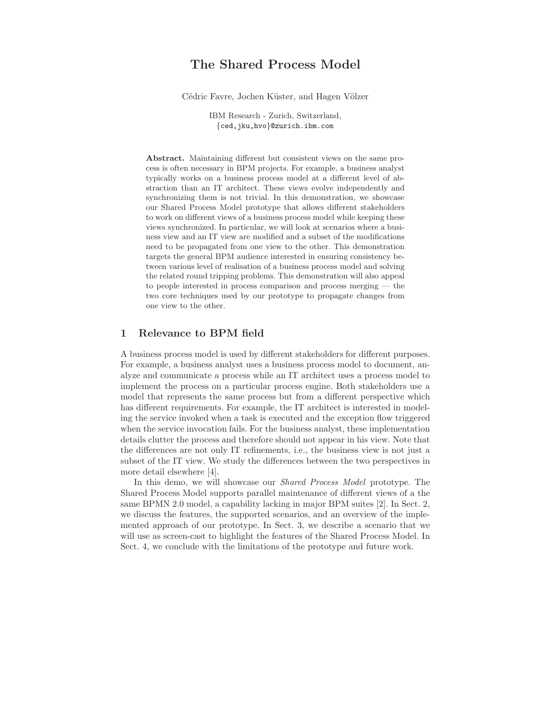# The Shared Process Model

Cédric Favre, Jochen Küster, and Hagen Völzer

IBM Research - Zurich, Switzerland, {ced,jku,hvo}@zurich.ibm.com

Abstract. Maintaining different but consistent views on the same process is often necessary in BPM projects. For example, a business analyst typically works on a business process model at a different level of abstraction than an IT architect. These views evolve independently and synchronizing them is not trivial. In this demonstration, we showcase our Shared Process Model prototype that allows different stakeholders to work on different views of a business process model while keeping these views synchronized. In particular, we will look at scenarios where a business view and an IT view are modified and a subset of the modifications need to be propagated from one view to the other. This demonstration targets the general BPM audience interested in ensuring consistency between various level of realisation of a business process model and solving the related round tripping problems. This demonstration will also appeal to people interested in process comparison and process merging — the two core techniques used by our prototype to propagate changes from one view to the other.

#### 1 Relevance to BPM field

A business process model is used by different stakeholders for different purposes. For example, a business analyst uses a business process model to document, analyze and communicate a process while an IT architect uses a process model to implement the process on a particular process engine. Both stakeholders use a model that represents the same process but from a different perspective which has different requirements. For example, the IT architect is interested in modeling the service invoked when a task is executed and the exception flow triggered when the service invocation fails. For the business analyst, these implementation details clutter the process and therefore should not appear in his view. Note that the differences are not only IT refinements, i.e., the business view is not just a subset of the IT view. We study the differences between the two perspectives in more detail elsewhere [4].

In this demo, we will showcase our Shared Process Model prototype. The Shared Process Model supports parallel maintenance of different views of a the same BPMN 2.0 model, a capability lacking in major BPM suites [2]. In Sect. 2, we discuss the features, the supported scenarios, and an overview of the implemented approach of our prototype. In Sect. 3, we describe a scenario that we will use as screen-cast to highlight the features of the Shared Process Model. In Sect. 4, we conclude with the limitations of the prototype and future work.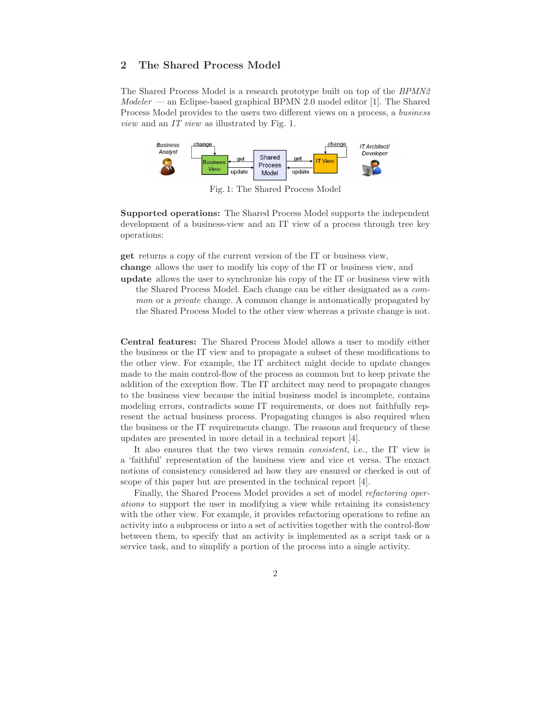# 2 The Shared Process Model

The Shared Process Model is a research prototype built on top of the BPMN2  $Modeler$  — an Eclipse-based graphical BPMN 2.0 model editor [1]. The Shared Process Model provides to the users two different views on a process, a business view and an IT view as illustrated by Fig. 1.



Fig. 1: The Shared Process Model

Supported operations: The Shared Process Model supports the independent development of a business-view and an IT view of a process through tree key operations:

get returns a copy of the current version of the IT or business view,

change allows the user to modify his copy of the IT or business view, and

update allows the user to synchronize his copy of the IT or business view with the Shared Process Model. Each change can be either designated as a common or a *private* change. A common change is automatically propagated by the Shared Process Model to the other view whereas a private change is not.

Central features: The Shared Process Model allows a user to modify either the business or the IT view and to propagate a subset of these modifications to the other view. For example, the IT architect might decide to update changes made to the main control-flow of the process as common but to keep private the addition of the exception flow. The IT architect may need to propagate changes to the business view because the initial business model is incomplete, contains modeling errors, contradicts some IT requirements, or does not faithfully represent the actual business process. Propagating changes is also required when the business or the IT requirements change. The reasons and frequency of these updates are presented in more detail in a technical report [4].

It also ensures that the two views remain consistent, i.e., the IT view is a 'faithful' representation of the business view and vice et versa. The enxact notions of consistency considered ad how they are ensured or checked is out of scope of this paper but are presented in the technical report [4].

Finally, the Shared Process Model provides a set of model refactoring operations to support the user in modifying a view while retaining its consistency with the other view. For example, it provides refactoring operations to refine an activity into a subprocess or into a set of activities together with the control-flow between them, to specify that an activity is implemented as a script task or a service task, and to simplify a portion of the process into a single activity.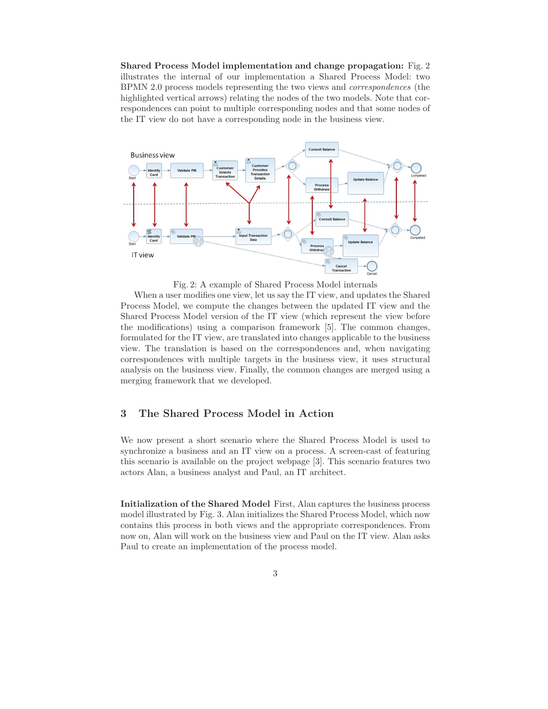Shared Process Model implementation and change propagation: Fig. 2 illustrates the internal of our implementation a Shared Process Model: two BPMN 2.0 process models representing the two views and correspondences (the highlighted vertical arrows) relating the nodes of the two models. Note that correspondences can point to multiple corresponding nodes and that some nodes of the IT view do not have a corresponding node in the business view.



Fig. 2: A example of Shared Process Model internals

When a user modifies one view, let us say the IT view, and updates the Shared Process Model, we compute the changes between the updated IT view and the Shared Process Model version of the IT view (which represent the view before the modifications) using a comparison framework [5]. The common changes, formulated for the IT view, are translated into changes applicable to the business view. The translation is based on the correspondences and, when navigating correspondences with multiple targets in the business view, it uses structural analysis on the business view. Finally, the common changes are merged using a merging framework that we developed.

# 3 The Shared Process Model in Action

We now present a short scenario where the Shared Process Model is used to synchronize a business and an IT view on a process. A screen-cast of featuring this scenario is available on the project webpage [3]. This scenario features two actors Alan, a business analyst and Paul, an IT architect.

Initialization of the Shared Model First, Alan captures the business process model illustrated by Fig. 3. Alan initializes the Shared Process Model, which now contains this process in both views and the appropriate correspondences. From now on, Alan will work on the business view and Paul on the IT view. Alan asks Paul to create an implementation of the process model.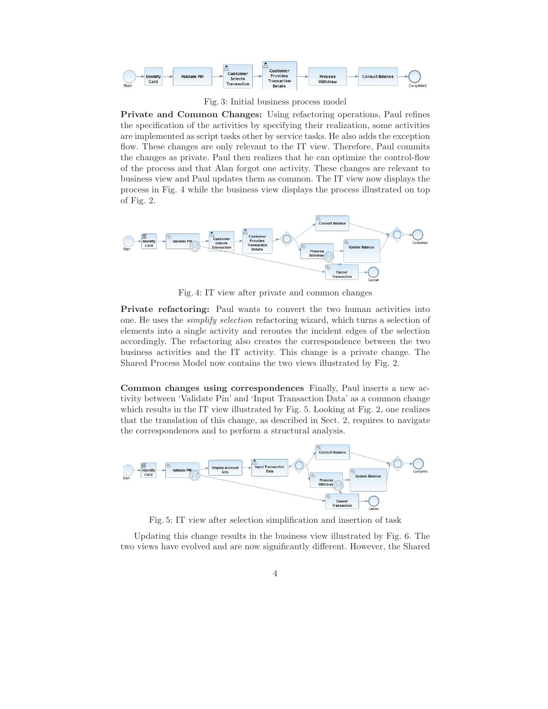

Fig. 3: Initial business process model

Private and Common Changes: Using refactoring operations, Paul refines the specification of the activities by specifying their realization, some activities are implemented as script tasks other by service tasks. He also adds the exception flow. These changes are only relevant to the IT view. Therefore, Paul commits the changes as private. Paul then realizes that he can optimize the control-flow of the process and that Alan forgot one activity. These changes are relevant to business view and Paul updates them as common. The IT view now displays the process in Fig. 4 while the business view displays the process illustrated on top of Fig. 2.



Fig. 4: IT view after private and common changes

Private refactoring: Paul wants to convert the two human activities into one. He uses the simplify selection refactoring wizard, which turns a selection of elements into a single activity and reroutes the incident edges of the selection accordingly. The refactoring also creates the correspondence between the two business activities and the IT activity. This change is a private change. The Shared Process Model now contains the two views illustrated by Fig. 2.

Common changes using correspondences Finally, Paul inserts a new activity between 'Validate Pin' and 'Input Transaction Data' as a common change which results in the IT view illustrated by Fig. 5. Looking at Fig. 2, one realizes that the translation of this change, as described in Sect. 2, requires to navigate the correspondences and to perform a structural analysis.



Fig. 5: IT view after selection simplification and insertion of task

Updating this change results in the business view illustrated by Fig. 6. The two views have evolved and are now significantly different. However, the Shared